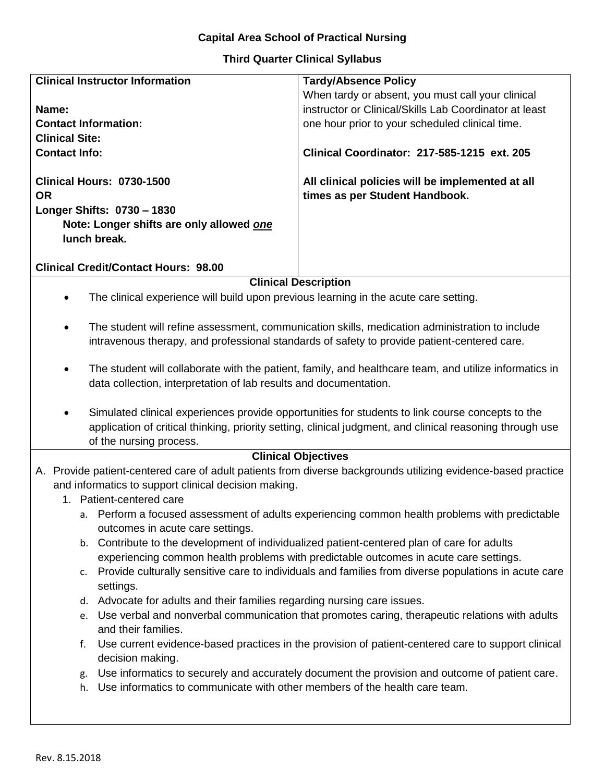## **Capital Area School of Practical Nursing**

## **Third Quarter Clinical Syllabus**

| <b>Clinical Instructor Information</b>                                                                                       | <b>Tardy/Absence Policy</b>                                                        |
|------------------------------------------------------------------------------------------------------------------------------|------------------------------------------------------------------------------------|
|                                                                                                                              | When tardy or absent, you must call your clinical                                  |
| Name:                                                                                                                        | instructor or Clinical/Skills Lab Coordinator at least                             |
| <b>Contact Information:</b>                                                                                                  | one hour prior to your scheduled clinical time.                                    |
| <b>Clinical Site:</b>                                                                                                        |                                                                                    |
| <b>Contact Info:</b>                                                                                                         | <b>Clinical Coordinator: 217-585-1215 ext. 205</b>                                 |
| <b>Clinical Hours: 0730-1500</b><br><b>OR</b>                                                                                | All clinical policies will be implemented at all<br>times as per Student Handbook. |
| Longer Shifts: 0730 - 1830                                                                                                   |                                                                                    |
| Note: Longer shifts are only allowed one                                                                                     |                                                                                    |
| lunch break.                                                                                                                 |                                                                                    |
| <b>Clinical Credit/Contact Hours: 98.00</b>                                                                                  |                                                                                    |
|                                                                                                                              |                                                                                    |
| <b>Clinical Description</b><br>The clinical experience will build upon previous learning in the acute care setting.          |                                                                                    |
|                                                                                                                              |                                                                                    |
| The student will refine assessment, communication skills, medication administration to include                               |                                                                                    |
| intravenous therapy, and professional standards of safety to provide patient-centered care.                                  |                                                                                    |
|                                                                                                                              |                                                                                    |
| The student will collaborate with the patient, family, and healthcare team, and utilize informatics in                       |                                                                                    |
| data collection, interpretation of lab results and documentation.                                                            |                                                                                    |
|                                                                                                                              |                                                                                    |
| Simulated clinical experiences provide opportunities for students to link course concepts to the<br>$\bullet$                |                                                                                    |
| application of critical thinking, priority setting, clinical judgment, and clinical reasoning through use                    |                                                                                    |
| of the nursing process.                                                                                                      |                                                                                    |
| <b>Clinical Objectives</b>                                                                                                   |                                                                                    |
| A. Provide patient-centered care of adult patients from diverse backgrounds utilizing evidence-based practice                |                                                                                    |
| and informatics to support clinical decision making.                                                                         |                                                                                    |
| 1. Patient-centered care                                                                                                     |                                                                                    |
| a. Perform a focused assessment of adults experiencing common health problems with predictable                               |                                                                                    |
| outcomes in acute care settings.                                                                                             |                                                                                    |
| b. Contribute to the development of individualized patient-centered plan of care for adults                                  |                                                                                    |
| experiencing common health problems with predictable outcomes in acute care settings.                                        |                                                                                    |
| Provide culturally sensitive care to individuals and families from diverse populations in acute care<br>c.                   |                                                                                    |
| settings.                                                                                                                    |                                                                                    |
| d. Advocate for adults and their families regarding nursing care issues.                                                     |                                                                                    |
| e. Use verbal and nonverbal communication that promotes caring, therapeutic relations with adults                            |                                                                                    |
| and their families.                                                                                                          |                                                                                    |
| Use current evidence-based practices in the provision of patient-centered care to support clinical<br>f.<br>decision making. |                                                                                    |
| Use informatics to securely and accurately document the provision and outcome of patient care.<br>g.                         |                                                                                    |
| Use informatics to communicate with other members of the health care team.<br>h.                                             |                                                                                    |
|                                                                                                                              |                                                                                    |